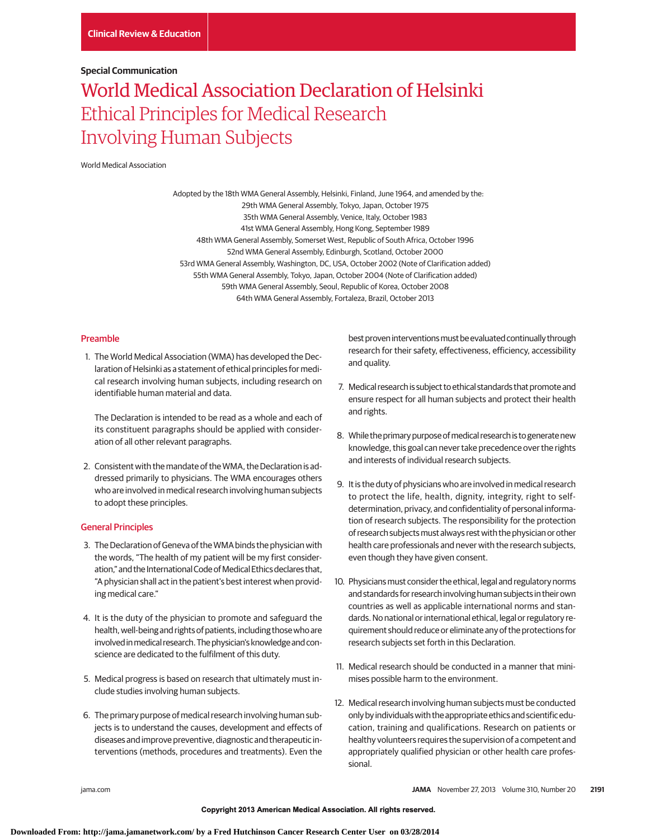## **Special Communication**

# World Medical Association Declaration of Helsinki Ethical Principles for Medical Research Involving Human Subjects

World Medical Association

Adopted by the 18th WMA General Assembly, Helsinki, Finland, June 1964, and amended by the: 29th WMA General Assembly, Tokyo, Japan, October 1975 35th WMA General Assembly, Venice, Italy, October 1983 41st WMA General Assembly, Hong Kong, September 1989 48th WMA General Assembly, Somerset West, Republic of South Africa, October 1996 52nd WMA General Assembly, Edinburgh, Scotland, October 2000 53rd WMA General Assembly, Washington, DC, USA, October 2002 (Note of Clarification added) 55th WMA General Assembly, Tokyo, Japan, October 2004 (Note of Clarification added) 59th WMA General Assembly, Seoul, Republic of Korea, October 2008 64th WMA General Assembly, Fortaleza, Brazil, October 2013

## Preamble

1. The World Medical Association (WMA) has developed the Declaration of Helsinki as a statement of ethical principles for medical research involving human subjects, including research on identifiable human material and data.

The Declaration is intended to be read as a whole and each of its constituent paragraphs should be applied with consideration of all other relevant paragraphs.

2. Consistent with the mandate of theWMA, the Declaration is addressed primarily to physicians. The WMA encourages others who are involved in medical research involving human subjects to adopt these principles.

#### General Principles

- 3. The Declaration of Geneva of theWMA binds the physician with the words, "The health of my patient will be my first consideration," and the International Code of Medical Ethics declares that, "A physician shall act in the patient's best interest when providing medical care."
- 4. It is the duty of the physician to promote and safeguard the health, well-being and rights of patients, including those who are involved in medical research. The physician's knowledge and conscience are dedicated to the fulfilment of this duty.
- 5. Medical progress is based on research that ultimately must include studies involving human subjects.
- 6. The primary purpose of medical research involving human subjects is to understand the causes, development and effects of diseases and improve preventive, diagnostic and therapeutic interventions (methods, procedures and treatments). Even the

best proven interventions must be evaluated continually through research for their safety, effectiveness, efficiency, accessibility and quality.

- 7. Medical research is subject toethical standards that promote and ensure respect for all human subjects and protect their health and rights.
- 8. While the primary purpose of medical research is to generate new knowledge, this goal can never take precedence over the rights and interests of individual research subjects.
- 9. It is the duty of physicians who are involved in medical research to protect the life, health, dignity, integrity, right to selfdetermination, privacy, and confidentiality of personal information of research subjects. The responsibility for the protection of research subjectsmust always rest with the physician or other health care professionals and never with the research subjects, even though they have given consent.
- 10. Physicians must consider the ethical, legal and regulatory norms and standards for research involving human subjects in their own countries as well as applicable international norms and standards. No national or international ethical, legal or regulatory requirement should reduce or eliminate any of the protections for research subjects set forth in this Declaration.
- 11. Medical research should be conducted in a manner that minimises possible harm to the environment.
- 12. Medical research involving human subjects must be conducted only by individuals with the appropriate ethics and scientific education, training and qualifications. Research on patients or healthy volunteers requires the supervision of a competent and appropriately qualified physician or other health care professional.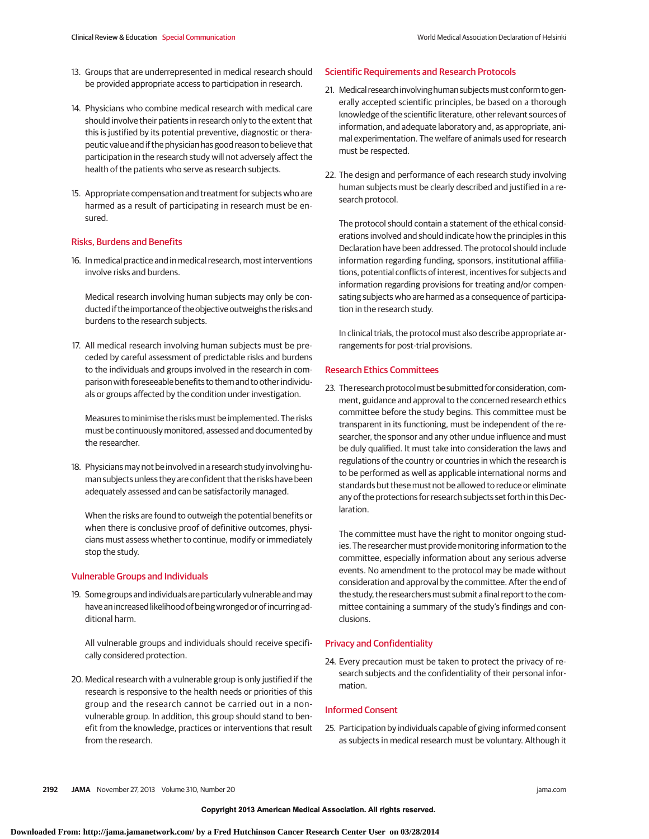- 13. Groups that are underrepresented in medical research should be provided appropriate access to participation in research.
- 14. Physicians who combine medical research with medical care should involve their patients in research only to the extent that this is justified by its potential preventive, diagnostic or therapeutic value and if the physician has good reason to believe that participation in the research study will not adversely affect the health of the patients who serve as research subjects.
- 15. Appropriate compensation and treatment for subjects who are harmed as a result of participating in research must be ensured.

#### Risks, Burdens and Benefits

16. In medical practice and in medical research, most interventions involve risks and burdens.

Medical research involving human subjects may only be conducted if the importance of the objective outweighs the risks and burdens to the research subjects.

17. All medical research involving human subjects must be preceded by careful assessment of predictable risks and burdens to the individuals and groups involved in the research in comparison with foreseeable benefits to them and to other individuals or groups affected by the condition under investigation.

Measures to minimise the risks must be implemented. The risks must be continuously monitored, assessed and documented by the researcher.

18. Physicians may not be involvedin a research study involving human subjects unless they are confident that the risks have been adequately assessed and can be satisfactorily managed.

When the risks are found to outweigh the potential benefits or when there is conclusive proof of definitive outcomes, physicians must assess whether to continue, modify or immediately stop the study.

## Vulnerable Groups and Individuals

19. Some groups and individuals are particularly vulnerable andmay have an increased likelihood of being wronged or of incurring additional harm.

All vulnerable groups and individuals should receive specifically considered protection.

20. Medical research with a vulnerable group is only justified if the research is responsive to the health needs or priorities of this group and the research cannot be carried out in a nonvulnerable group. In addition, this group should stand to benefit from the knowledge, practices or interventions that result from the research.

#### Scientific Requirements and Research Protocols

- 21. Medical research involving human subjectsmust conform to generally accepted scientific principles, be based on a thorough knowledge of the scientific literature, other relevant sources of information, and adequate laboratory and, as appropriate, animal experimentation. The welfare of animals used for research must be respected.
- 22. The design and performance of each research study involving human subjects must be clearly described and justified in a research protocol.

The protocol should contain a statement of the ethical considerations involved and should indicate how the principles in this Declaration have been addressed. The protocol should include information regarding funding, sponsors, institutional affiliations, potential conflicts of interest, incentives for subjects and information regarding provisions for treating and/or compensating subjects who are harmed as a consequence of participation in the research study.

In clinical trials, the protocol must also describe appropriate arrangements for post-trial provisions.

## Research Ethics Committees

23. The research protocolmust be submitted for consideration, comment, guidance and approval to the concerned research ethics committee before the study begins. This committee must be transparent in its functioning, must be independent of the researcher, the sponsor and any other undue influence and must be duly qualified. It must take into consideration the laws and regulations of the country or countries in which the research is to be performed as well as applicable international norms and standards but these must not be allowed to reduce or eliminate any of the protections for research subjects set forth in this Declaration.

The committee must have the right to monitor ongoing studies. The researcher must provide monitoring information to the committee, especially information about any serious adverse events. No amendment to the protocol may be made without consideration and approval by the committee. After the end of the study, the researchers must submit a final report to the committee containing a summary of the study's findings and conclusions.

### Privacy and Confidentiality

24. Every precaution must be taken to protect the privacy of research subjects and the confidentiality of their personal information.

### Informed Consent

25. Participation by individuals capable of giving informed consent as subjects in medical research must be voluntary. Although it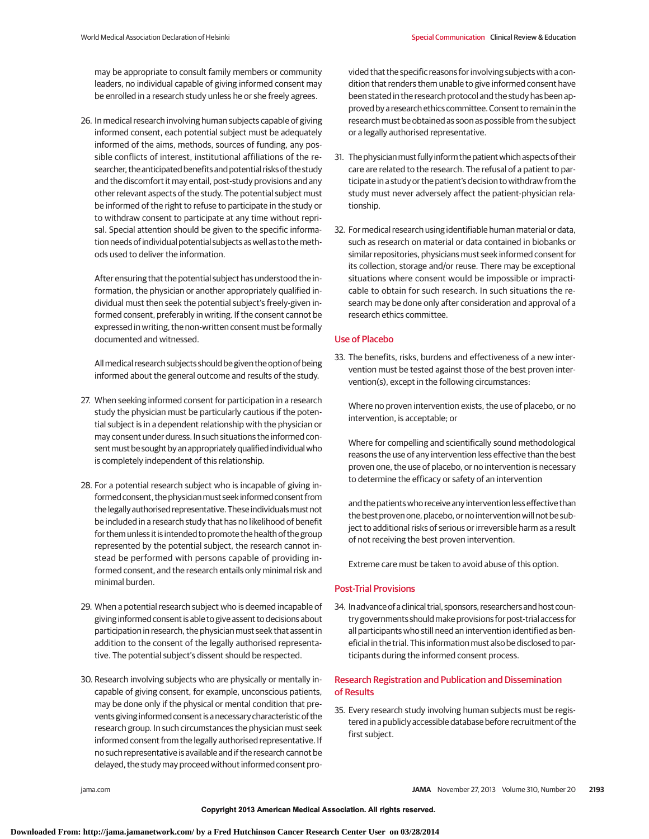may be appropriate to consult family members or community leaders, no individual capable of giving informed consent may be enrolled in a research study unless he or she freely agrees.

26. In medical research involving human subjects capable of giving informed consent, each potential subject must be adequately informed of the aims, methods, sources of funding, any possible conflicts of interest, institutional affiliations of the researcher, the anticipated benefits and potential risks of the study and the discomfort it may entail, post-study provisions and any other relevant aspects of the study. The potential subject must be informed of the right to refuse to participate in the study or to withdraw consent to participate at any time without reprisal. Special attention should be given to the specific information needs of individual potential subjects as well as to themethods used to deliver the information.

After ensuring that the potential subject has understood the information, the physician or another appropriately qualified individual must then seek the potential subject's freely-given informed consent, preferably in writing. If the consent cannot be expressed in writing, the non-written consent must be formally documented and witnessed.

Allmedical research subjects should be given the option of being informed about the general outcome and results of the study.

- 27. When seeking informed consent for participation in a research study the physician must be particularly cautious if the potential subject is in a dependent relationship with the physician or may consent under duress. In such situations the informed consent must be sought by an appropriately qualified individual who is completely independent of this relationship.
- 28. For a potential research subject who is incapable of giving informed consent, the physician must seek informed consent from the legally authorised representative. These individuals must not be included in a research study that has no likelihood of benefit for them unless it is intended to promote the health of the group represented by the potential subject, the research cannot instead be performed with persons capable of providing informed consent, and the research entails only minimal risk and minimal burden.
- 29. When a potential research subject who is deemed incapable of giving informed consent is able to give assent to decisions about participation in research, the physician must seek that assent in addition to the consent of the legally authorised representative. The potential subject's dissent should be respected.
- 30. Research involving subjects who are physically or mentally incapable of giving consent, for example, unconscious patients, may be done only if the physical or mental condition that prevents giving informed consent is a necessary characteristic of the research group. In such circumstances the physician must seek informed consent from the legally authorised representative. If no such representative is available and if the research cannot be delayed, the study may proceed without informed consent pro-

vided that the specific reasons for involving subjects with a condition that renders them unable to give informed consent have been stated in the research protocol and the study has been approved by a research ethics committee. Consent to remain in the research must be obtained as soon as possible from the subject or a legally authorised representative.

- 31. The physician must fully inform the patient which aspects of their care are related to the research. The refusal of a patient to participate in a study or the patient's decision to withdraw from the study must never adversely affect the patient-physician relationship.
- 32. For medical research using identifiable human material or data, such as research on material or data contained in biobanks or similar repositories, physicians must seek informed consent for its collection, storage and/or reuse. There may be exceptional situations where consent would be impossible or impracticable to obtain for such research. In such situations the research may be done only after consideration and approval of a research ethics committee.

## Use of Placebo

33. The benefits, risks, burdens and effectiveness of a new intervention must be tested against those of the best proven intervention(s), except in the following circumstances:

Where no proven intervention exists, the use of placebo, or no intervention, is acceptable; or

Where for compelling and scientifically sound methodological reasons the use of any intervention less effective than the best proven one, the use of placebo, or no intervention is necessary to determine the efficacy or safety of an intervention

and the patients who receive any intervention less effective than the best proven one, placebo, or no intervention will not be subject to additional risks of serious or irreversible harm as a result of not receiving the best proven intervention.

Extreme care must be taken to avoid abuse of this option.

# Post-Trial Provisions

34. In advance of a clinical trial, sponsors, researchers and host country governments shouldmake provisions for post-trial access for all participants who still need an intervention identified as beneficial in the trial. This information must also be disclosed to participants during the informed consent process.

# Research Registration and Publication and Dissemination of Results

35. Every research study involving human subjects must be registered in a publicly accessible database before recruitment of the first subject.